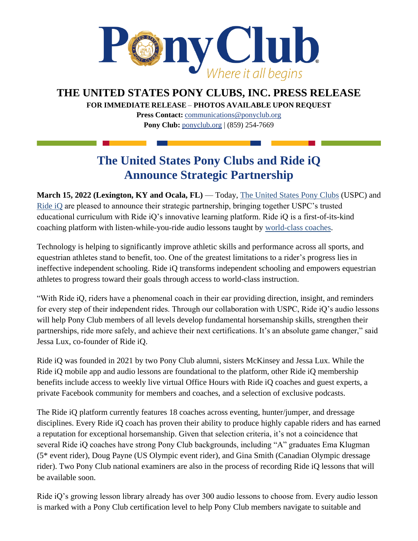

**THE UNITED STATES PONY CLUBS, INC. PRESS RELEASE**

**FOR IMMEDIATE RELEASE** – **PHOTOS AVAILABLE UPON REQUEST** 

**Press Contact:** [communications@ponyclub.org](mailto:communications@ponyclub.org) **Pony Club:** [ponyclub.org](https://www.ponyclub.org/) | (859) 254-7669

## **The United States Pony Clubs and Ride iQ Announce Strategic Partnership**

**March 15, 2022 (Lexington, KY and Ocala, FL)** — Today, [The United States Pony Clubs](https://www.ponyclub.org/) (USPC) an[d](http://ride-iq.com/) [Ride iQ](http://ride-iq.com/) are pleased to announce their strategic partnership, bringing together USPC's trusted educational curriculum with Ride iQ's innovative learning platform. Ride iQ is a first-of-its-kind coaching platform with listen-while-you-ride audio lessons taught by [world-class coaches.](https://ride-iq.com/coaches/)

Technology is helping to significantly improve athletic skills and performance across all sports, and equestrian athletes stand to benefit, too. One of the greatest limitations to a rider's progress lies in ineffective independent schooling. Ride iQ transforms independent schooling and empowers equestrian athletes to progress toward their goals through access to world-class instruction.

"With Ride iQ, riders have a phenomenal coach in their ear providing direction, insight, and reminders for every step of their independent rides. Through our collaboration with USPC, Ride iQ's audio lessons will help Pony Club members of all levels develop fundamental horsemanship skills, strengthen their partnerships, ride more safely, and achieve their next certifications. It's an absolute game changer," said Jessa Lux, co-founder of Ride iQ.

Ride iQ was founded in 2021 by two Pony Club alumni, sisters McKinsey and Jessa Lux. While the Ride iQ mobile app and audio lessons are foundational to the platform, other Ride iQ membership benefits include access to weekly live virtual Office Hours with Ride iQ coaches and guest experts, a private Facebook community for members and coaches, and a selection of exclusive podcasts.

The Ride iQ platform currently features 18 coaches across eventing, hunter/jumper, and dressage disciplines. Every Ride iQ coach has proven their ability to produce highly capable riders and has earned a reputation for exceptional horsemanship. Given that selection criteria, it's not a coincidence that several Ride iQ coaches have strong Pony Club backgrounds, including "A" graduates Ema Klugman (5\* event rider), Doug Payne (US Olympic event rider), and Gina Smith (Canadian Olympic dressage rider). Two Pony Club national examiners are also in the process of recording Ride iQ lessons that will be available soon.

Ride iQ's growing lesson library already has over 300 audio lessons to choose from. Every audio lesson is marked with a Pony Club certification level to help Pony Club members navigate to suitable and